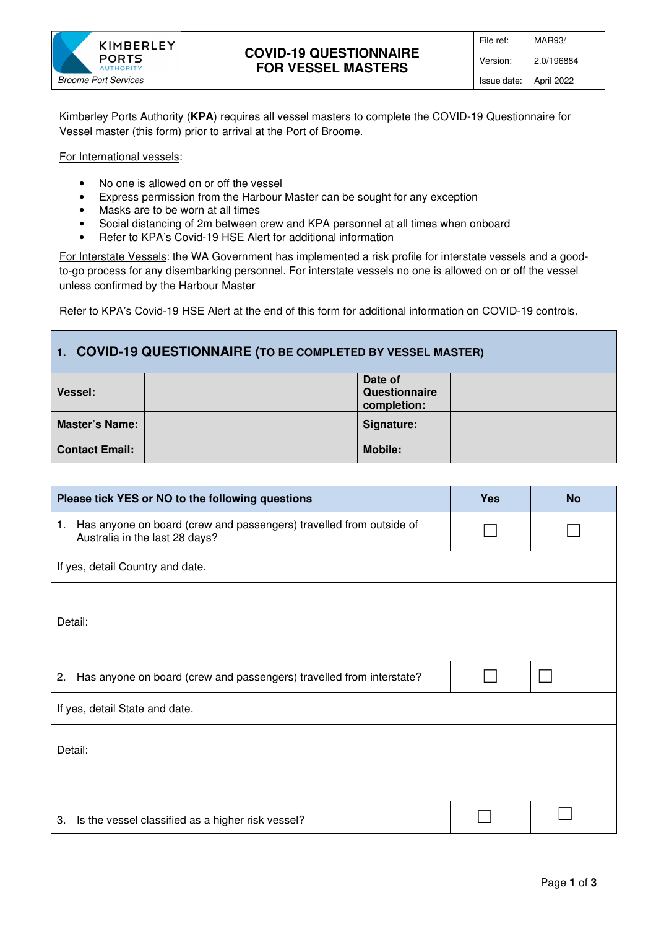

## **COVID-19 QUESTIONNAIRE FOR VESSEL MASTERS**

Kimberley Ports Authority (**KPA**) requires all vessel masters to complete the COVID-19 Questionnaire for Vessel master (this form) prior to arrival at the Port of Broome.

#### For International vessels:

- No one is allowed on or off the vessel
- Express permission from the Harbour Master can be sought for any exception
- Masks are to be worn at all times
- Social distancing of 2m between crew and KPA personnel at all times when onboard
- Refer to KPA's Covid-19 HSE Alert for additional information

For Interstate Vessels: the WA Government has implemented a risk profile for interstate vessels and a goodto-go process for any disembarking personnel. For interstate vessels no one is allowed on or off the vessel unless confirmed by the Harbour Master

Refer to KPA's Covid-19 HSE Alert at the end of this form for additional information on COVID-19 controls.

## **1. COVID-19 QUESTIONNAIRE (TO BE COMPLETED BY VESSEL MASTER)**

| <b>Vessel:</b>        | Date of<br>Questionnaire<br>completion: |  |
|-----------------------|-----------------------------------------|--|
| <b>Master's Name:</b> | Signature:                              |  |
| <b>Contact Email:</b> | <b>Mobile:</b>                          |  |

| Please tick YES or NO to the following questions                                                            | <b>Yes</b> | <b>No</b> |  |
|-------------------------------------------------------------------------------------------------------------|------------|-----------|--|
| Has anyone on board (crew and passengers) travelled from outside of<br>1.<br>Australia in the last 28 days? |            |           |  |
| If yes, detail Country and date.                                                                            |            |           |  |
| Detail:                                                                                                     |            |           |  |
| Has anyone on board (crew and passengers) travelled from interstate?<br>2.                                  |            |           |  |
| If yes, detail State and date.                                                                              |            |           |  |
| Detail:                                                                                                     |            |           |  |
| Is the vessel classified as a higher risk vessel?<br>3.                                                     |            |           |  |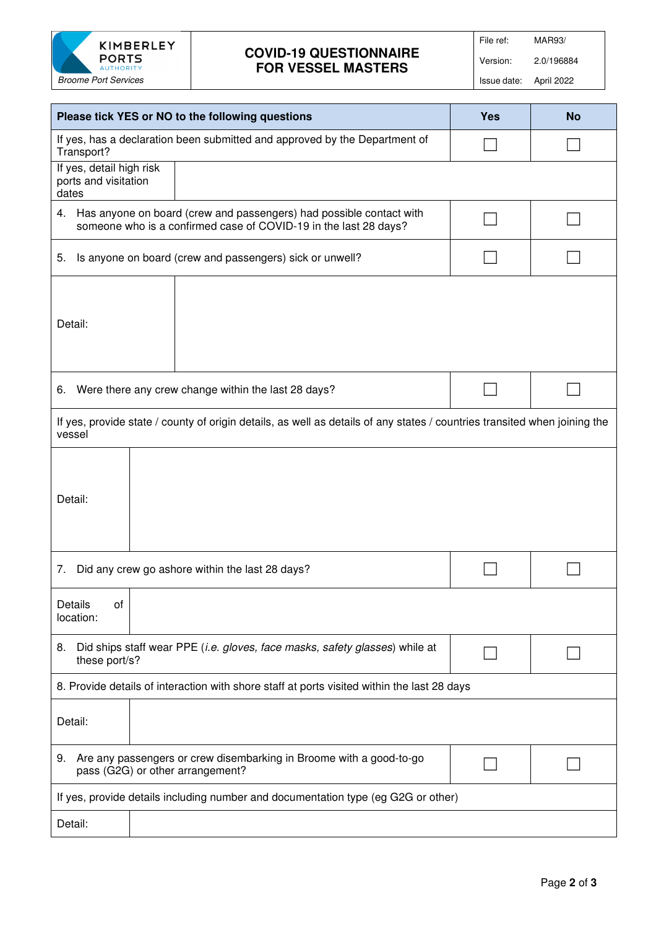

### **COVID-19 QUESTIONNAIRE FOR VESSEL MASTERS**

File ref: MAR93/

Version: 2.0/196884

Issue date: April 2022

| Please tick YES or NO to the following questions                                                                                              | <b>Yes</b> | <b>No</b> |  |
|-----------------------------------------------------------------------------------------------------------------------------------------------|------------|-----------|--|
| If yes, has a declaration been submitted and approved by the Department of<br>Transport?                                                      |            |           |  |
| If yes, detail high risk<br>ports and visitation<br>dates                                                                                     |            |           |  |
| Has anyone on board (crew and passengers) had possible contact with<br>4.<br>someone who is a confirmed case of COVID-19 in the last 28 days? |            |           |  |
| Is anyone on board (crew and passengers) sick or unwell?<br>5.                                                                                |            |           |  |
| Detail:                                                                                                                                       |            |           |  |
| Were there any crew change within the last 28 days?<br>6.                                                                                     |            |           |  |
| If yes, provide state / county of origin details, as well as details of any states / countries transited when joining the<br>vessel           |            |           |  |
| Detail:                                                                                                                                       |            |           |  |
| Did any crew go ashore within the last 28 days?<br>7.                                                                                         |            |           |  |
| <b>Details</b><br>of<br>location:                                                                                                             |            |           |  |
| Did ships staff wear PPE (i.e. gloves, face masks, safety glasses) while at<br>8.<br>these port/s?                                            |            |           |  |
| 8. Provide details of interaction with shore staff at ports visited within the last 28 days                                                   |            |           |  |
| Detail:                                                                                                                                       |            |           |  |
| Are any passengers or crew disembarking in Broome with a good-to-go<br>9.<br>pass (G2G) or other arrangement?                                 |            |           |  |
| If yes, provide details including number and documentation type (eg G2G or other)                                                             |            |           |  |
| Detail:                                                                                                                                       |            |           |  |